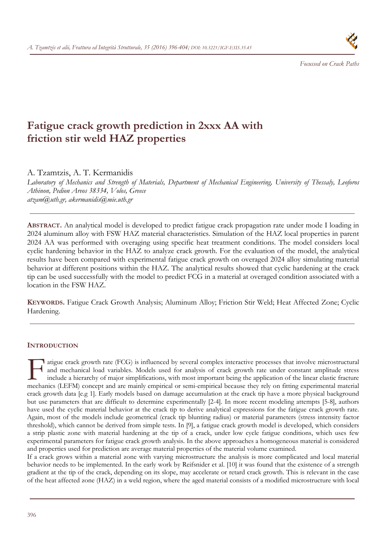

 *Focussed on Crack Paths* 

# **Fatigue crack growth prediction in 2xxx AA with friction stir weld HAZ properties**

A. Tzamtzis, A. T. Kermanidis

*Laboratory of Mechanics and Strength of Materials, Department of Mechanical Engineering, University of Thessaly, Leoforos Athinon, Pedion Areos 38334, Volos, Greece atzam@uth.gr, akermanidis@mie.uth.gr* 

**ABSTRACT.** An analytical model is developed to predict fatigue crack propagation rate under mode I loading in 2024 aluminum alloy with FSW HAZ material characteristics. Simulation of the HAZ local properties in parent 2024 AA was performed with overaging using specific heat treatment conditions. The model considers local cyclic hardening behavior in the HAZ to analyze crack growth. For the evaluation of the model, the analytical results have been compared with experimental fatigue crack growth on overaged 2024 alloy simulating material behavior at different positions within the HAZ. The analytical results showed that cyclic hardening at the crack tip can be used successfully with the model to predict FCG in a material at overaged condition associated with a location in the FSW HAZ.

**KEYWORDS.** Fatigue Crack Growth Analysis; Aluminum Alloy; Friction Stir Weld; Heat Affected Zone; Cyclic Hardening.

# **INTRODUCTION**

**1** atigue crack growth rate (FCG) is influenced by several complex interactive processes that involve microstructural and mechanical load variables. Models used for analysis of crack growth rate under constant amplitude stress include a hierarchy of major simplifications, with most important being the application of the linear elastic fracture atigue crack growth rate (FCG) is influenced by several complex interactive processes that involve microstructural<br>and mechanical load variables. Models used for analysis of crack growth rate under constant amplitude stres crack growth data [e.g 1]. Early models based on damage accumulation at the crack tip have a more physical background but use parameters that are difficult to determine experimentally [2-4]. In more recent modeling attempts [5-8], authors have used the cyclic material behavior at the crack tip to derive analytical expressions for the fatigue crack growth rate. Again, most of the models include geometrical (crack tip blunting radius) or material parameters (stress intensity factor threshold), which cannot be derived from simple tests. In [9], a fatigue crack growth model is developed, which considers a strip plastic zone with material hardening at the tip of a crack, under low cycle fatigue conditions, which uses few experimental parameters for fatigue crack growth analysis. In the above approaches a homogeneous material is considered and properties used for prediction are average material properties of the material volume examined.

If a crack grows within a material zone with varying microstructure the analysis is more complicated and local material behavior needs to be implemented. In the early work by Reifsnider et al. [10] it was found that the existence of a strength gradient at the tip of the crack, depending on its slope, may accelerate or retard crack growth. This is relevant in the case of the heat affected zone (HAZ) in a weld region, where the aged material consists of a modified microstructure with local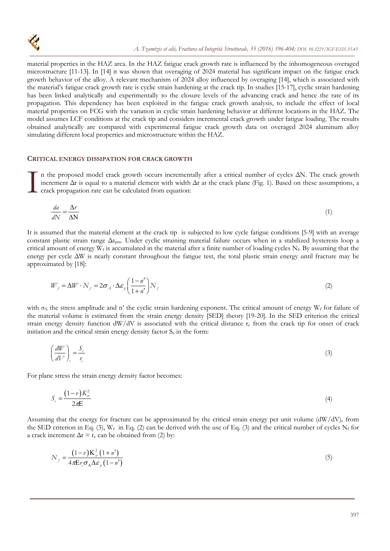

material properties in the HAZ area. In the HAZ fatigue crack growth rate is influenced by the inhomogeneous overaged microstructure [11-13]. In [14] it was shown that overaging of 2024 material has significant impact on the fatigue crack growth behavior of the alloy. A relevant mechanism of 2024 alloy influenced by overaging [14], which is associated with the material's fatigue crack growth rate is cyclic strain hardening at the crack tip. In studies [15-17], cyclic strain hardening has been linked analytically and experimentally to the closure levels of the advancing crack and hence the rate of its propagation. This dependency has been exploited in the fatigue crack growth analysis, to include the effect of local material properties on FCG with the variation in cyclic strain hardening behavior at different locations in the HAZ. The model assumes LCF conditions at the crack tip and considers incremental crack growth under fatigue loading. The results obtained analytically are compared with experimental fatigue crack growth data on overaged 2024 aluminum alloy simulating different local properties and microstructure within the HAZ.

### **CRITICAL ENERGY DISSIPATION FOR CRACK GROWTH**

n the proposed model crack growth occurs incrementally after a critical number of cycles ΔΝ. The crack growth increment Δr is equal to a material element with width Δr at the crack plane (Fig. 1). Based on these assumptions, a crack propagation rate can be calculated from equation:  $\prod_{\text{cm}}^n$ 

$$
\frac{da}{dN} = \frac{\Delta r}{\Delta N} \tag{1}
$$

It is assumed that the material element at the crack tip is subjected to low cycle fatigue conditions [5-9] with an average constant plastic strain range Δεpm. Under cyclic straining material failure occurs when in a stabilized hysteresis loop a critical amount of energy W<sub>f</sub> is accumulated in the material after a finite number of loading cycles N<sub>f</sub>. By assuming that the energy per cycle ΔW is nearly constant throughout the fatigue test, the total plastic strain energy until fracture may be approximated by [18]:

$$
W_f = \Delta W \cdot N_f = 2\sigma_A \cdot \Delta \varepsilon_p \left(\frac{1 - n'}{1 + n'}\right) N_f
$$
\n(2)

with  $\sigma_A$  the stress amplitude and n' the cyclic strain hardening exponent. The critical amount of energy W<sub>f</sub> for failure of the material volume is estimated from the strain energy density [SED] theory [19-20]. In the SED criterion the critical strain energy density function  $dW/dV$  is associated with the critical distance  $r_c$  from the crack tip for onset of crack initiation and the critical strain energy density factor  $S_c$  in the form:

$$
\left(\frac{dW}{dV}\right)_c = \frac{S_c}{r_c} \tag{3}
$$

For plane stress the strain energy density factor becomes:

$$
S_c = \frac{(1-v)K_{cr}^2}{2\pi E} \tag{4}
$$

Assuming that the energy for fracture can be approximated by the critical strain energy per unit volume  $(dW/dV)_{c}$  from the SED criterion in Eq. (3),  $W_f$  in Eq. (2) can be derived with the use of Eq. (3) and the critical number of cycles  $N_f$  for a crack increment  $\Delta r = r_c$  can be obtained from (2) by:

$$
N_f = \frac{(1-v)\mathbf{K}_{\sigma}^2 (1+n')}{4\pi \mathbf{E}r_c \sigma_{\mathbf{A}} \Delta \varepsilon_p (1-n')}
$$
(5)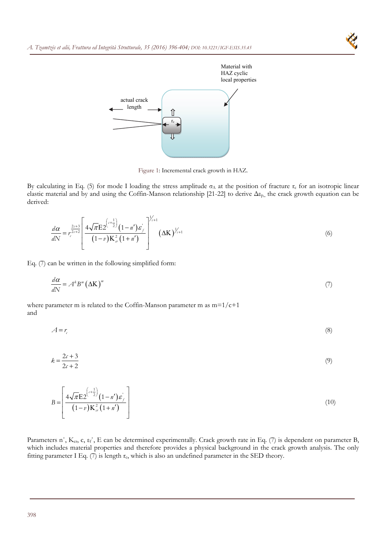

Figure 1: Incremental crack growth in HAZ.

By calculating in Eq. (5) for mode I loading the stress amplitude  $\sigma_A$  at the position of fracture  $r_c$  for an isotropic linear elastic material and by and using the Coffin-Manson relationship [21-22] to derive Δεp,, the crack growth equation can be derived:

$$
\frac{d\alpha}{dN} = r_c^{\frac{2c+3}{2c+2}} \left[ \frac{4\sqrt{\pi}E2^{\left(c+\frac{1}{2}\right)}(1-n')\epsilon_f^{\vee}}{(1-v)K_{cr}^2(1+n')} \right]^{1/2+1} (\Delta K)^{1/2+1}
$$
(6)

Eq. (7) can be written in the following simplified form:

$$
\frac{d\alpha}{dN} = A^k B^m \left(\Delta K\right)^m \tag{7}
$$

where parameter m is related to the Coffin-Manson parameter m as  $m=1/c+1$ and

 $A = r_c$  (8)

$$
k = \frac{2c + 3}{2c + 2} \tag{9}
$$

$$
B = \left[ \frac{4\sqrt{\pi} \mathbf{E} 2^{\left(c + \frac{1}{2}\right)} (1 - n') \varepsilon_j}{(1 - v) \mathbf{K}_{\sigma}^2 (1 + n')} \right]
$$
(10)

Parameters n', K<sub>cr</sub>, c, ε<sub>f</sub>', E can be determined experimentally. Crack growth rate in Eq. (7) is dependent on parameter B, which includes material properties and therefore provides a physical background in the crack growth analysis. The only fitting parameter I Eq.  $(7)$  is length  $r_c$ , which is also an undefined parameter in the SED theory.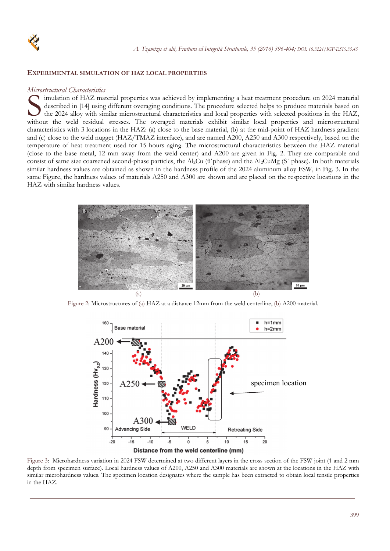

#### **EXPERIMENTAL SIMULATION OF HAZ LOCAL PROPERTIES**

### *Microstructural Characteristics*

imulation of HAZ material properties was achieved by implementing a heat treatment procedure on 2024 material described in [14] using different overaging conditions. The procedure selected helps to produce materials based on the 2024 alloy with similar microstructural characteristics and local properties with selected positions in the HAZ, imulation of HAZ material properties was achieved by implementing a heat treatment procedure on 2024 material<br>described in [14] using different overaging conditions. The procedure selected helps to produce materials based characteristics with 3 locations in the HAZ: (a) close to the base material, (b) at the mid-point of HAZ hardness gradient and (c) close to the weld nugget (HAZ/TMAZ interface), and are named A200, A250 and A300 respectively, based on the temperature of heat treatment used for 15 hours aging. The microstructural characteristics between the HAZ material (close to the base metal, 12 mm away from the weld center) and A200 are given in Fig. 2. They are comparable and consist of same size coarsened second-phase particles, the Al2Cu (θ΄phase) and the Al2CuMg (S΄ phase). In both materials similar hardness values are obtained as shown in the hardness profile of the 2024 aluminum alloy FSW, in Fig. 3. In the same Figure, the hardness values of materials A250 and A300 are shown and are placed on the respective locations in the HAZ with similar hardness values.



Figure 2: Microstructures of (a) HAZ at a distance 12mm from the weld centerline, (b) A200 material.





Figure 3: Microhardness variation in 2024 FSW determined at two different layers in the cross section of the FSW joint (1 and 2 mm depth from specimen surface). Local hardness values of A200, A250 and A300 materials are shown at the locations in the HAZ with similar microhardness values. The specimen location designates where the sample has been extracted to obtain local tensile properties in the HAZ.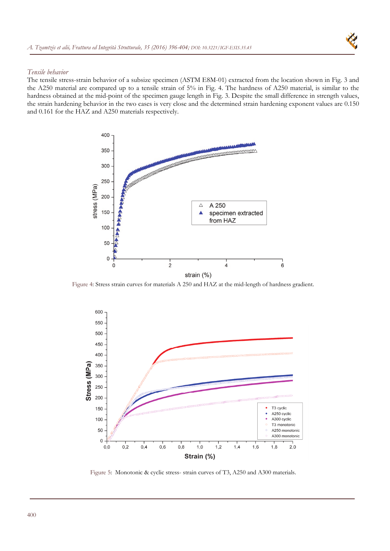

## *Tensile behavior*

The tensile stress-strain behavior of a subsize specimen (ASTM E8M-01) extracted from the location shown in Fig. 3 and the A250 material are compared up to a tensile strain of 5% in Fig. 4. The hardness of A250 material, is similar to the hardness obtained at the mid-point of the specimen gauge length in Fig. 3. Despite the small difference in strength values, the strain hardening behavior in the two cases is very close and the determined strain hardening exponent values are 0.150 and 0.161 for the HAZ and A250 materials respectively.



Figure 4: Stress strain curves for materials A 250 and HAZ at the mid-length of hardness gradient.



Figure 5: Monotonic & cyclic stress- strain curves of T3, A250 and A300 materials.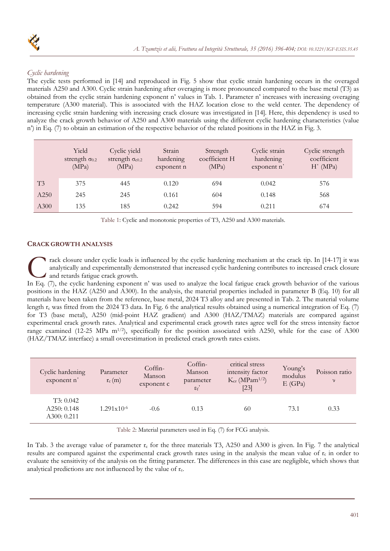

# *Cyclic hardening*

The cyclic tests performed in [14] and reproduced in Fig. 5 show that cyclic strain hardening occurs in the overaged materials A250 and A300. Cyclic strain hardening after overaging is more pronounced compared to the base metal (T3) as obtained from the cyclic strain hardening exponent n' values in Tab. 1. Parameter n' increases with increasing overaging temperature (A300 material). This is associated with the HAZ location close to the weld center. The dependency of increasing cyclic strain hardening with increasing crack closure was investigated in [14]. Here, this dependency is used to analyze the crack growth behavior of A250 and A300 materials using the different cyclic hardening characteristics (value n') in Eq. (7) to obtain an estimation of the respective behavior of the related positions in the HAZ in Fig. 3.

|      | Yield<br>strength $\sigma_{0.2}$<br>(MPa) | Cyclic yield<br>strength $\sigma_{c0.2}$<br>(MPa) | Strain<br>hardening<br>exponent n | Strength<br>coefficient H<br>(MPa) | Cyclic strain<br>hardening<br>exponent n' | Cyclic strength<br>coefficient<br>H' (MPa) |
|------|-------------------------------------------|---------------------------------------------------|-----------------------------------|------------------------------------|-------------------------------------------|--------------------------------------------|
| T3   | 375                                       | 445                                               | 0.120                             | 694                                | 0.042                                     | 576                                        |
| A250 | 245                                       | 245                                               | 0.161                             | 604                                | 0.148                                     | 568                                        |
| A300 | 135                                       | 185                                               | 0.242                             | 594                                | 0.211                                     | 674                                        |

Table 1: Cyclic and monotonic properties of T3, A250 and A300 materials.

# **CRACK GROWTH ANALYSIS**

rack closure under cyclic loads is influenced by the cyclic hardening mechanism at the crack tip. In [14-17] it was analytically and experimentally demonstrated that increased cyclic hardening contributes to increased crack closure and retards fatigue crack growth. Track closure under cyclic loads is influenced by the cyclic hardening mechanism at the crack tip. In [14-17] it was analytically and experimentally demonstrated that increased cyclic hardening contributes to increased cra

positions in the HAZ (A250 and A300). In the analysis, the material properties included in parameter B (Eq. 10) for all materials have been taken from the reference, base metal, 2024 T3 alloy and are presented in Tab. 2. The material volume length  $r_c$  was fitted from the 2024 T3 data. In Fig. 6 the analytical results obtained using a numerical integration of Eq. (7) for T3 (base metal), A250 (mid-point HAZ gradient) and A300 (HAZ/TMAZ) materials are compared against experimental crack growth rates. Analytical and experimental crack growth rates agree well for the stress intensity factor range examined (12-25 MPa m<sup>1/2</sup>), specifically for the position associated with A250, while for the case of A300 (HAZ/TMAZ interface) a small overestimation in predicted crack growth rates exists.

| Cyclic hardening<br>exponent n'        | Parameter<br>$r_c(m)$ | Coffin-<br>Manson<br>exponent c | Coffin-<br>Manson<br>parameter<br>$\varepsilon_f$ ' | critical stress<br>intensity factor<br>$K_{cr}$ (MPam <sup>1/2</sup> )<br>$[23]$ | Young's<br>modulus<br>E(GPa) | Poisson ratio<br>ν |
|----------------------------------------|-----------------------|---------------------------------|-----------------------------------------------------|----------------------------------------------------------------------------------|------------------------------|--------------------|
| T3: 0.042<br>A250:0.148<br>A300: 0.211 | $1.291x10^{-6}$       | $-0.6$                          | 0.13                                                | 60                                                                               | 73.1                         | 0.33               |

Table 2: Material parameters used in Eq. (7) for FCG analysis.

In Tab. 3 the average value of parameter  $r_c$  for the three materials T3, A250 and A300 is given. In Fig. 7 the analytical results are compared against the experimental crack growth rates using in the analysis the mean value of  $r_c$  in order to evaluate the sensitivity of the analysis on the fitting parameter. The differences in this case are negligible, which shows that analytical predictions are not influenced by the value of  $r_c$ .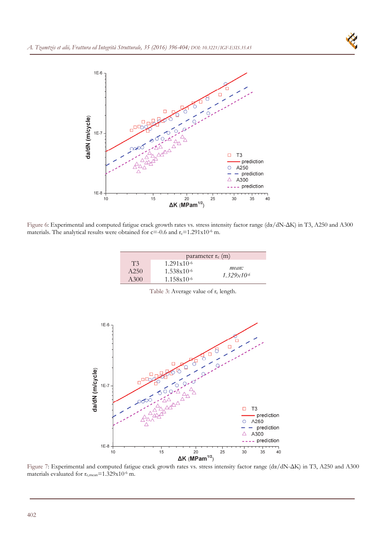



Figure 6: Experimental and computed fatigue crack growth rates vs. stress intensity factor range (dα/dN-ΔΚ) in T3, A250 and A300 materials. The analytical results were obtained for c=-0.6 and  $r_c$ =1.291x10<sup>-6</sup> m.

|                | parameter $r_c$ (m) |                        |  |  |  |
|----------------|---------------------|------------------------|--|--|--|
| T <sup>3</sup> | $1.291x10^{-6}$     |                        |  |  |  |
| A250           | $1.538x10^{-6}$     | mean:                  |  |  |  |
| A300           | $1.158x10^{-6}$     | $1.329 \times 10^{-6}$ |  |  |  |

Table 3: Average value of  $r_c$  length.



Figure 7: Experimental and computed fatigue crack growth rates vs. stress intensity factor range (dα/dN-ΔΚ) in T3, A250 and A300 materials evaluated for  $r_{c,mean} = 1.329 \times 10^{-6}$  m.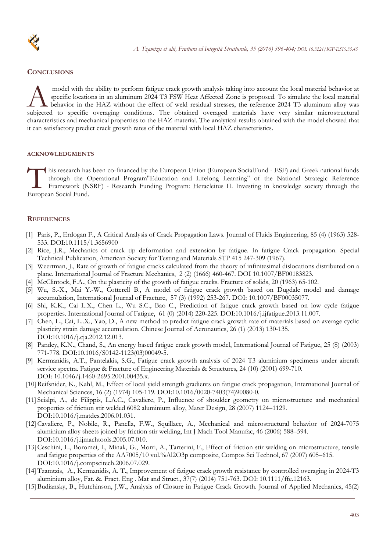

# **CONCLUSIONS**

 model with the ability to perform fatigue crack growth analysis taking into account the local material behavior at specific locations in an aluminum 2024 T3 FSW Heat Affected Zone is proposed. To simulate the local material behavior in the HAZ without the effect of weld residual stresses, the reference 2024 T3 aluminum alloy was model with the ability to perform fatigue crack growth analysis taking into account the local material behavior at specific locations in an aluminum 2024 T3 FSW Heat Affected Zone is proposed. To simulate the local materia characteristics and mechanical properties to the HAZ material. The analytical results obtained with the model showed that it can satisfactory predict crack growth rates of the material with local HAZ characteristics.

## **ACKNOWLEDGMENTS**

his research has been co-financed by the European Union (European SocialFund - ESF) and Greek national funds through the Operational Program"Education and Lifelong Learning" of the National Strategic Reference Framework (NSRF) - Research Funding Program: Heracleitus II. Investing in knowledge society through the his research has<br>through the C<br>Framework (N:<br>European Social Fund.

# **REFERENCES**

- [1] Paris, P., Erdogan F., A Critical Analysis of Crack Propagation Laws. Journal of Fluids Engineering, 85 (4) (1963) 528- 533. DOI:10.1115/1.3656900
- [2] Rice, J.R., Mechanics of crack tip deformation and extension by fatigue. In fatigue Crack propagation. Special Technical Publication, American Society for Testing and Materials STP 415 247-309 (1967).
- [3] Weertman, J., Rate of growth of fatigue cracks calculated from the theory of infinitesimal dislocations distributed on a plane. International Journal of Fracture Mechanics, 2 (2) (1666) 460-467. DOI 10.1007/BF00183823.
- [4] McClintock, F.A., On the plasticity of the growth of fatigue cracks. Fracture of solids, 20 (1963) 65-102.
- [5] Wu, S.-X., Mai Y.-W., Cotterell B., A model of fatigue crack growth based on Dugdale model and damage accumulation, International Journal of Fracture, 57 (3) (1992) 253-267. DOI: 10.1007/BF00035077.
- [6] Shi, K.K., Cai L.X., Chen L., Wu S.C., Bao C., Prediction of fatigue crack growth based on low cycle fatigue properties. International Journal of Fatigue, 61 (0) (2014) 220-225. DOI:10.1016/j.ijfatigue.2013.11.007.
- [7] Chen, L., Cai, L..X., Yao, D., A new method to predict fatigue crack growth rate of materials based on average cyclic plasticity strain damage accumulation. Chinese Journal of Aeronautics, 26 (1) (2013) 130-135. DOI:10.1016/j.cja.2012.12.013.
- [8] Pandey, K.N., Chand, S., An energy based fatigue crack growth model, International Journal of Fatigue, 25 (8) (2003) 771-778. DOI:10.1016/S0142-1123(03)00049-5.
- [9] Kermanidis, A.T., Pantelakis, S.G., Fatigue crack growth analysis of 2024 T3 aluminium specimens under aircraft service spectra. Fatigue & Fracture of Engineering Materials & Structures, 24 (10) (2001) 699-710. DOI: 10.1046/j.1460-2695.2001.00435.x.
- [10] Reifsnider, K., Kahl, M., Effect of local yield strength gradients on fatigue crack propagation, International Journal of Mechanical Sciences, 16 (2) (1974) 105-119. DOI:10.1016/0020-7403(74)90080-0.
- [11] Scialpi, A., de Filippis, L.A.C., Cavaliere, P., Influence of shoulder geometry on microstructure and mechanical properties of friction stir welded 6082 aluminium alloy, Mater Design, 28 (2007) 1124–1129. DOI:10.1016/j.matdes.2006.01.031.
- [12] Cavaliere, P., Nobile, R., Panella, F.W., Squillace, A., Mechanical and microstructural behavior of 2024-7075 aluminium alloy sheets joined by friction stir welding, Int J Mach Tool Manufac, 46 (2006) 588–594. DOI:10.1016/j.ijmachtools.2005.07.010.
- [13] Ceschini, L., Boromei, I., Minak, G., Morri, A., Tarterini, F., Effect of friction stir welding on microstructure, tensile and fatigue properties of the AA7005/10 vol.%Al2O3p composite, Compos Sci Technol, 67 (2007) 605–615. DOI:10.1016/j.compscitech.2006.07.029.
- [14] Tzamtzis, A., Kermanidis, A. T., Improvement of fatigue crack growth resistance by controlled overaging in 2024-T3 aluminium alloy, Fat. &. Fract. Eng . Mat and Struct., 37(7) (2014) 751-763. DOI: 10.1111/ffe.12163.
- [15] Budiansky, B., Hutchinson, J.W., Analysis of Closure in Fatigue Crack Growth. Journal of Applied Mechanics, 45(2)